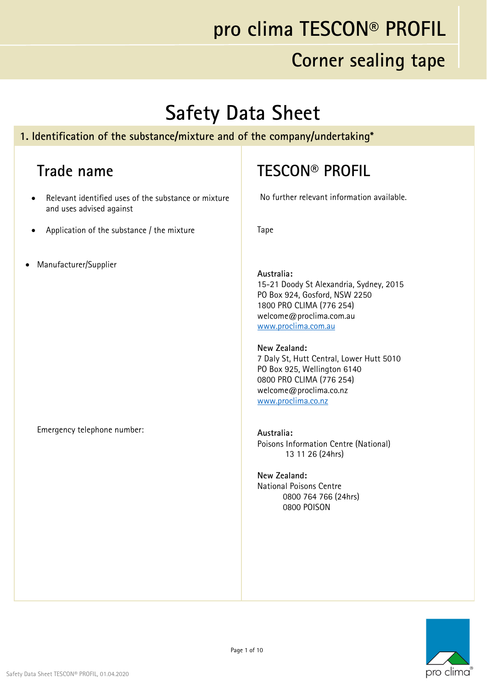#### **Corner sealing tape**

# **Safety Data Sheet**

#### **1. Identification of the substance/mixture and of the company/undertaking\***

#### **Trade name**

- Relevant identified uses of the substance or mixture and uses advised against
- Application of the substance / the mixture
- Manufacturer/Supplier

Emergency telephone number:

#### **TESCON® PROFIL**

No further relevant information available.

Tape

#### **Australia:**

15-21 Doody St Alexandria, Sydney, 2015 PO Box 924, Gosford, NSW 2250 1800 PRO CLIMA (776 254) welcome@proclima.com.au www.proclima.com.au

#### **New Zealand:**

7 Daly St, Hutt Central, Lower Hutt 5010 PO Box 925, Wellington 6140 0800 PRO CLIMA (776 254) welcome@proclima.co.nz www.proclima.co.nz

**Australia:**  Poisons Information Centre (National) 13 11 26 (24hrs)

**New Zealand:**  National Poisons Centre 0800 764 766 (24hrs) 0800 POISON

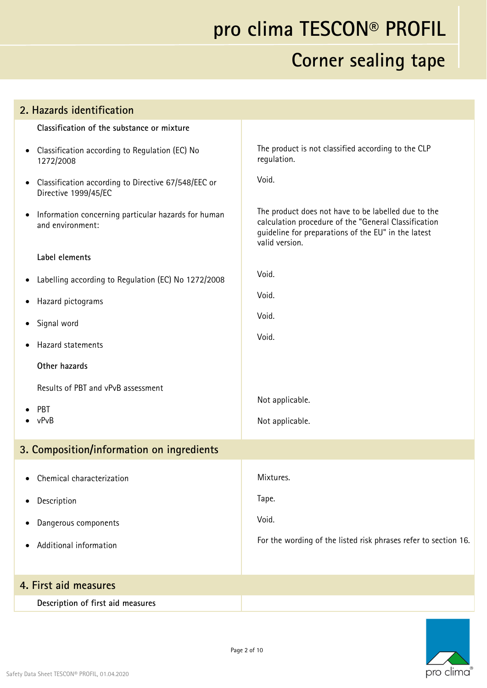| 2. Hazards identification                                                                |                                                                                                                                                                                      |
|------------------------------------------------------------------------------------------|--------------------------------------------------------------------------------------------------------------------------------------------------------------------------------------|
| Classification of the substance or mixture                                               |                                                                                                                                                                                      |
| Classification according to Regulation (EC) No<br>$\bullet$<br>1272/2008                 | The product is not classified according to the CLP<br>regulation.                                                                                                                    |
| Classification according to Directive 67/548/EEC or<br>$\bullet$<br>Directive 1999/45/EC | Void.                                                                                                                                                                                |
| Information concerning particular hazards for human<br>$\bullet$<br>and environment:     | The product does not have to be labelled due to the<br>calculation procedure of the "General Classification<br>guideline for preparations of the EU" in the latest<br>valid version. |
| Label elements                                                                           |                                                                                                                                                                                      |
| Labelling according to Regulation (EC) No 1272/2008<br>$\bullet$                         | Void.                                                                                                                                                                                |
| Hazard pictograms<br>$\bullet$                                                           | Void.                                                                                                                                                                                |
| Signal word<br>$\bullet$                                                                 | Void.                                                                                                                                                                                |
| Hazard statements                                                                        | Void.                                                                                                                                                                                |
| Other hazards                                                                            |                                                                                                                                                                                      |
| Results of PBT and vPvB assessment                                                       |                                                                                                                                                                                      |
| PBT                                                                                      | Not applicable.                                                                                                                                                                      |
| vPvB                                                                                     | Not applicable.                                                                                                                                                                      |
| 3. Composition/information on ingredients                                                |                                                                                                                                                                                      |
| Chemical characterization                                                                | Mixtures.                                                                                                                                                                            |
| Description<br>$\bullet$                                                                 | Tape.                                                                                                                                                                                |
| Dangerous components<br>$\bullet$                                                        | Void.                                                                                                                                                                                |
| Additional information                                                                   | For the wording of the listed risk phrases refer to section 16.                                                                                                                      |
|                                                                                          |                                                                                                                                                                                      |
| 4. First aid measures                                                                    |                                                                                                                                                                                      |
| Description of first aid measures                                                        |                                                                                                                                                                                      |
|                                                                                          |                                                                                                                                                                                      |

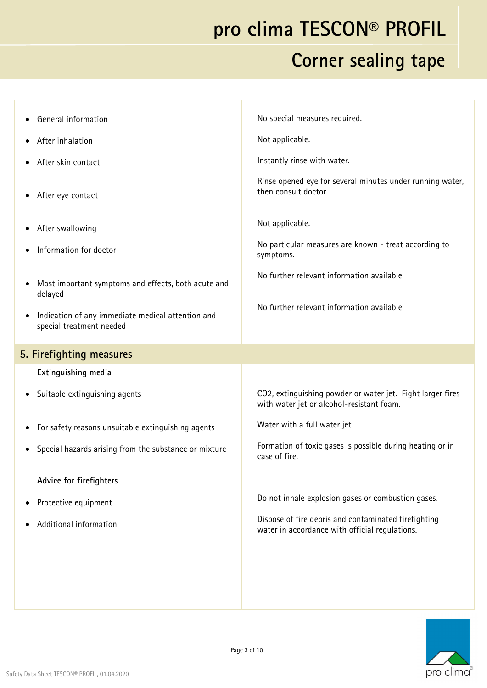| <b>General information</b>                                                    | No special measures required.                                                                           |
|-------------------------------------------------------------------------------|---------------------------------------------------------------------------------------------------------|
| After inhalation                                                              | Not applicable.                                                                                         |
| After skin contact                                                            | Instantly rinse with water.                                                                             |
| After eye contact                                                             | Rinse opened eye for several minutes under running water,<br>then consult doctor.                       |
| After swallowing                                                              | Not applicable.                                                                                         |
| Information for doctor                                                        | No particular measures are known - treat according to<br>symptoms.                                      |
| Most important symptoms and effects, both acute and<br>delayed                | No further relevant information available.                                                              |
| Indication of any immediate medical attention and<br>special treatment needed | No further relevant information available.                                                              |
| 5. Firefighting measures                                                      |                                                                                                         |
| Extinguishing media                                                           |                                                                                                         |
| Suitable extinguishing agents                                                 | CO2, extinguishing powder or water jet. Fight larger fires<br>with water jet or alcohol-resistant foam. |
| For safety reasons unsuitable extinguishing agents                            | Water with a full water jet.                                                                            |
| Special hazards arising from the substance or mixture                         | Formation of toxic gases is possible during heating or in<br>case of fire.                              |
| Advice for firefighters                                                       |                                                                                                         |
| Protective equipment                                                          | Do not inhale explosion gases or combustion gases.                                                      |
| Additional information                                                        | Dispose of fire debris and contaminated firefighting<br>water in accordance with official regulations.  |
|                                                                               |                                                                                                         |
|                                                                               |                                                                                                         |
|                                                                               |                                                                                                         |

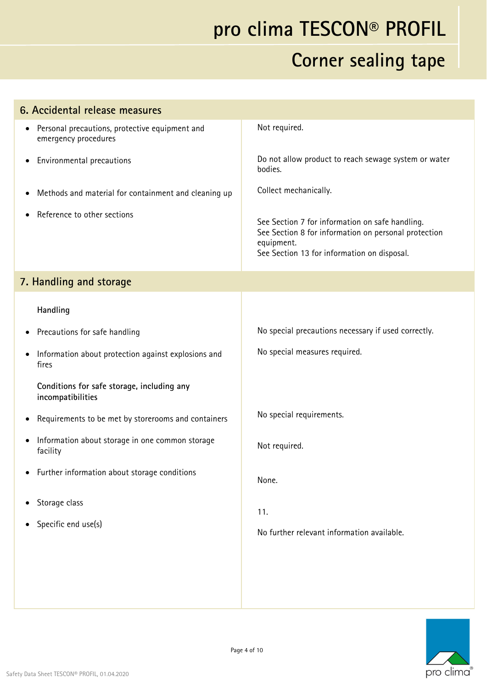| 6. Accidental release measures                                                      |                                                                                                                                                                      |
|-------------------------------------------------------------------------------------|----------------------------------------------------------------------------------------------------------------------------------------------------------------------|
| Personal precautions, protective equipment and<br>$\bullet$<br>emergency procedures | Not required.                                                                                                                                                        |
| Environmental precautions<br>$\bullet$                                              | Do not allow product to reach sewage system or water<br>bodies.                                                                                                      |
| Methods and material for containment and cleaning up<br>$\bullet$                   | Collect mechanically.                                                                                                                                                |
| Reference to other sections                                                         | See Section 7 for information on safe handling.<br>See Section 8 for information on personal protection<br>equipment.<br>See Section 13 for information on disposal. |
| 7. Handling and storage                                                             |                                                                                                                                                                      |
| Handling                                                                            |                                                                                                                                                                      |
| Precautions for safe handling<br>$\bullet$                                          | No special precautions necessary if used correctly.                                                                                                                  |
| Information about protection against explosions and<br>fires                        | No special measures required.                                                                                                                                        |
| Conditions for safe storage, including any<br>incompatibilities                     |                                                                                                                                                                      |
| Requirements to be met by storerooms and containers<br>$\bullet$                    | No special requirements.                                                                                                                                             |
| Information about storage in one common storage<br>$\bullet$<br>facility            | Not required.                                                                                                                                                        |
| • Further information about storage conditions                                      | None.                                                                                                                                                                |
| Storage class<br>$\bullet$                                                          | 11.                                                                                                                                                                  |
| Specific end use(s)<br>$\bullet$                                                    | No further relevant information available.                                                                                                                           |
|                                                                                     |                                                                                                                                                                      |
|                                                                                     |                                                                                                                                                                      |
|                                                                                     |                                                                                                                                                                      |

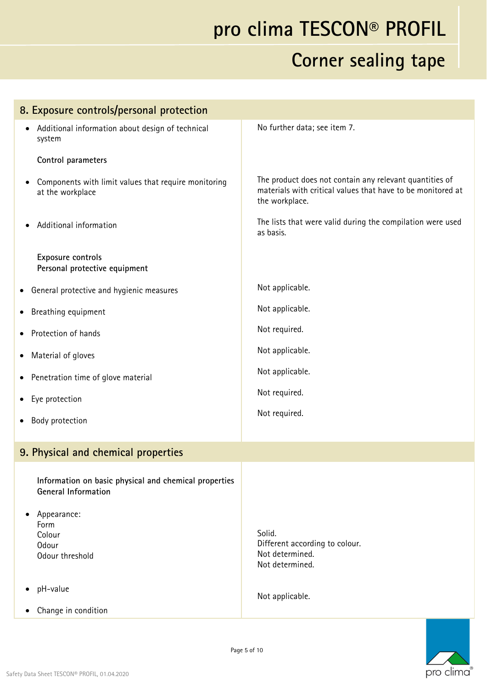| 8. Exposure controls/personal protection                                            |                                                                                                                                          |
|-------------------------------------------------------------------------------------|------------------------------------------------------------------------------------------------------------------------------------------|
| Additional information about design of technical<br>system                          | No further data; see item 7.                                                                                                             |
| Control parameters                                                                  |                                                                                                                                          |
| Components with limit values that require monitoring<br>at the workplace            | The product does not contain any relevant quantities of<br>materials with critical values that have to be monitored at<br>the workplace. |
| Additional information                                                              | The lists that were valid during the compilation were used<br>as basis.                                                                  |
| Exposure controls<br>Personal protective equipment                                  |                                                                                                                                          |
| General protective and hygienic measures<br>$\bullet$                               | Not applicable.                                                                                                                          |
| Breathing equipment                                                                 | Not applicable.                                                                                                                          |
| Protection of hands                                                                 | Not required.                                                                                                                            |
| Material of gloves                                                                  | Not applicable.                                                                                                                          |
| • Penetration time of glove material                                                | Not applicable.                                                                                                                          |
| Eye protection                                                                      | Not required.                                                                                                                            |
| Body protection                                                                     | Not required.                                                                                                                            |
| 9. Physical and chemical properties                                                 |                                                                                                                                          |
| Information on basic physical and chemical properties<br><b>General Information</b> |                                                                                                                                          |
| Appearance:<br>Form<br>Colour<br>Odour<br>Odour threshold                           | Solid.<br>Different according to colour.<br>Not determined.                                                                              |
| pH-value                                                                            | Not determined.<br>Not applicable.                                                                                                       |
| Change in condition                                                                 |                                                                                                                                          |

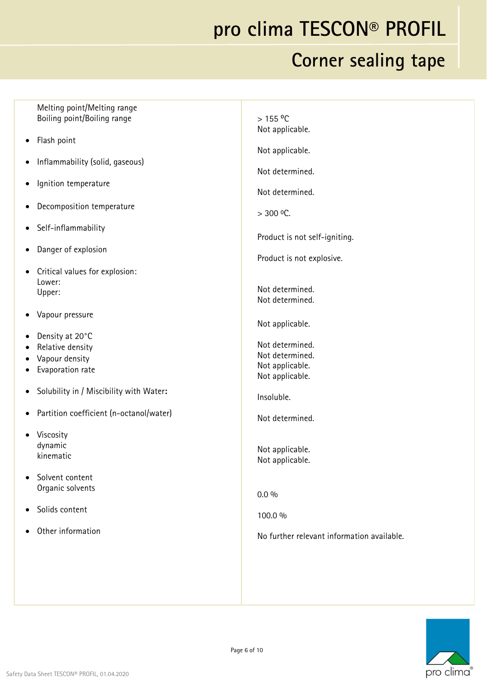#### **Corner sealing tape**

Melting point/Melting range Boiling point/Boiling range Flash point Inflammability (solid, gaseous) Ignition temperature Decomposition temperature Self-inflammability Danger of explosion Critical values for explosion: Lower: Upper: Vapour pressure Density at 20°C • Relative density Vapour density • Evaporation rate Solubility in / Miscibility with Water**:**  Partition coefficient (n-octanol/water) Viscosity dynamic kinematic • Solvent content Organic solvents Solids content Other information  $> 155 °C$ Not applicable. Not applicable. Not determined. Not determined.  $> 300$  <sup>o</sup>C. Product is not self-igniting. Product is not explosive. Not determined. Not determined. Not applicable. Not determined. Not determined. Not applicable. Not applicable. Insoluble. Not determined. Not applicable. Not applicable.  $0.0 \%$ 100.0 % No further relevant information available.

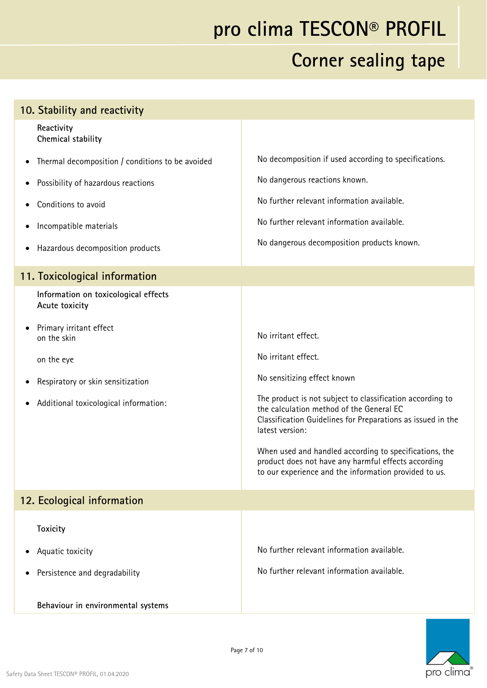| 10. Stability and reactivity                           |                                                                                                                                                                                         |
|--------------------------------------------------------|-----------------------------------------------------------------------------------------------------------------------------------------------------------------------------------------|
| Reactivity<br>Chemical stability                       |                                                                                                                                                                                         |
| Thermal decomposition / conditions to be avoided       | No decomposition if used according to specifications.                                                                                                                                   |
| Possibility of hazardous reactions                     | No dangerous reactions known.                                                                                                                                                           |
| Conditions to avoid                                    | No further relevant information available.                                                                                                                                              |
| Incompatible materials<br>$\bullet$                    | No further relevant information available.                                                                                                                                              |
| Hazardous decomposition products                       | No dangerous decomposition products known.                                                                                                                                              |
| 11. Toxicological information                          |                                                                                                                                                                                         |
| Information on toxicological effects<br>Acute toxicity |                                                                                                                                                                                         |
| Primary irritant effect<br>on the skin                 | No irritant effect.                                                                                                                                                                     |
| on the eye                                             | No irritant effect.                                                                                                                                                                     |
| Respiratory or skin sensitization                      | No sensitizing effect known                                                                                                                                                             |
| Additional toxicological information:<br>٠             | The product is not subject to classification according to<br>the calculation method of the General EC<br>Classification Guidelines for Preparations as issued in the<br>latest version: |
|                                                        | When used and handled according to specifications, the<br>product does not have any harmful effects according<br>to our experience and the information provided to us.                  |
| 12. Ecological information                             |                                                                                                                                                                                         |
| <b>Toxicity</b>                                        |                                                                                                                                                                                         |
| Aquatic toxicity                                       | No further relevant information available.                                                                                                                                              |
| Persistence and degradability                          | No further relevant information available.                                                                                                                                              |
| Behaviour in environmental systems                     |                                                                                                                                                                                         |

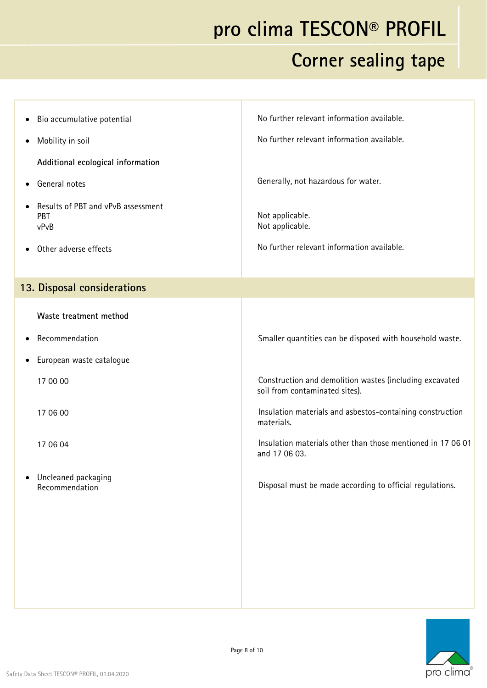| Bio accumulative potential<br>$\bullet$                        | No further relevant information available.                                                |
|----------------------------------------------------------------|-------------------------------------------------------------------------------------------|
| Mobility in soil<br>$\bullet$                                  | No further relevant information available.                                                |
| Additional ecological information                              |                                                                                           |
| General notes<br>$\bullet$                                     | Generally, not hazardous for water.                                                       |
| Results of PBT and vPvB assessment<br>$\bullet$<br>PBT<br>vPvB | Not applicable.<br>Not applicable.                                                        |
| Other adverse effects                                          | No further relevant information available.                                                |
|                                                                |                                                                                           |
| 13. Disposal considerations                                    |                                                                                           |
| Waste treatment method                                         |                                                                                           |
| Recommendation<br>$\bullet$                                    | Smaller quantities can be disposed with household waste.                                  |
| European waste catalogue<br>$\bullet$                          |                                                                                           |
| 17 00 00                                                       | Construction and demolition wastes (including excavated<br>soil from contaminated sites). |
| 17 06 00                                                       | Insulation materials and asbestos-containing construction<br>materials.                   |
| 17 06 04                                                       | Insulation materials other than those mentioned in 17 06 01<br>and 17 06 03.              |
| Uncleaned packaging<br>$\bullet$<br>Recommendation             | Disposal must be made according to official regulations.                                  |

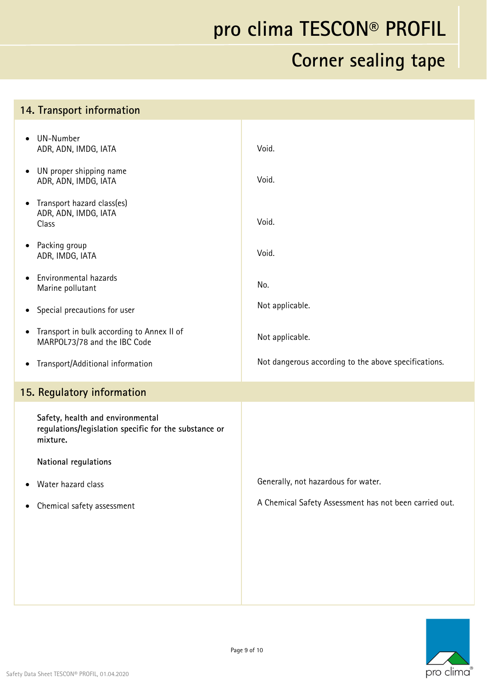| 14. Transport information                                                                             |                                                        |
|-------------------------------------------------------------------------------------------------------|--------------------------------------------------------|
| UN-Number<br>$\bullet$<br>ADR, ADN, IMDG, IATA                                                        | Void.                                                  |
| UN proper shipping name<br>$\bullet$<br>ADR, ADN, IMDG, IATA                                          | Void.                                                  |
| Transport hazard class(es)<br>$\bullet$<br>ADR, ADN, IMDG, IATA<br>Class                              | Void.                                                  |
| Packing group<br>$\bullet$<br>ADR, IMDG, IATA                                                         | Void.                                                  |
| Environmental hazards<br>$\bullet$<br>Marine pollutant                                                | No.                                                    |
| Special precautions for user<br>$\bullet$                                                             | Not applicable.                                        |
| Transport in bulk according to Annex II of<br>$\bullet$<br>MARPOL73/78 and the IBC Code               | Not applicable.                                        |
| Transport/Additional information<br>$\bullet$                                                         | Not dangerous according to the above specifications.   |
| 15. Regulatory information                                                                            |                                                        |
| Safety, health and environmental<br>regulations/legislation specific for the substance or<br>mixture. |                                                        |
| <b>National regulations</b>                                                                           |                                                        |
| Water hazard class<br>$\bullet$                                                                       | Generally, not hazardous for water.                    |
| Chemical safety assessment<br>$\bullet$                                                               | A Chemical Safety Assessment has not been carried out. |
|                                                                                                       |                                                        |
|                                                                                                       |                                                        |
|                                                                                                       |                                                        |
|                                                                                                       |                                                        |